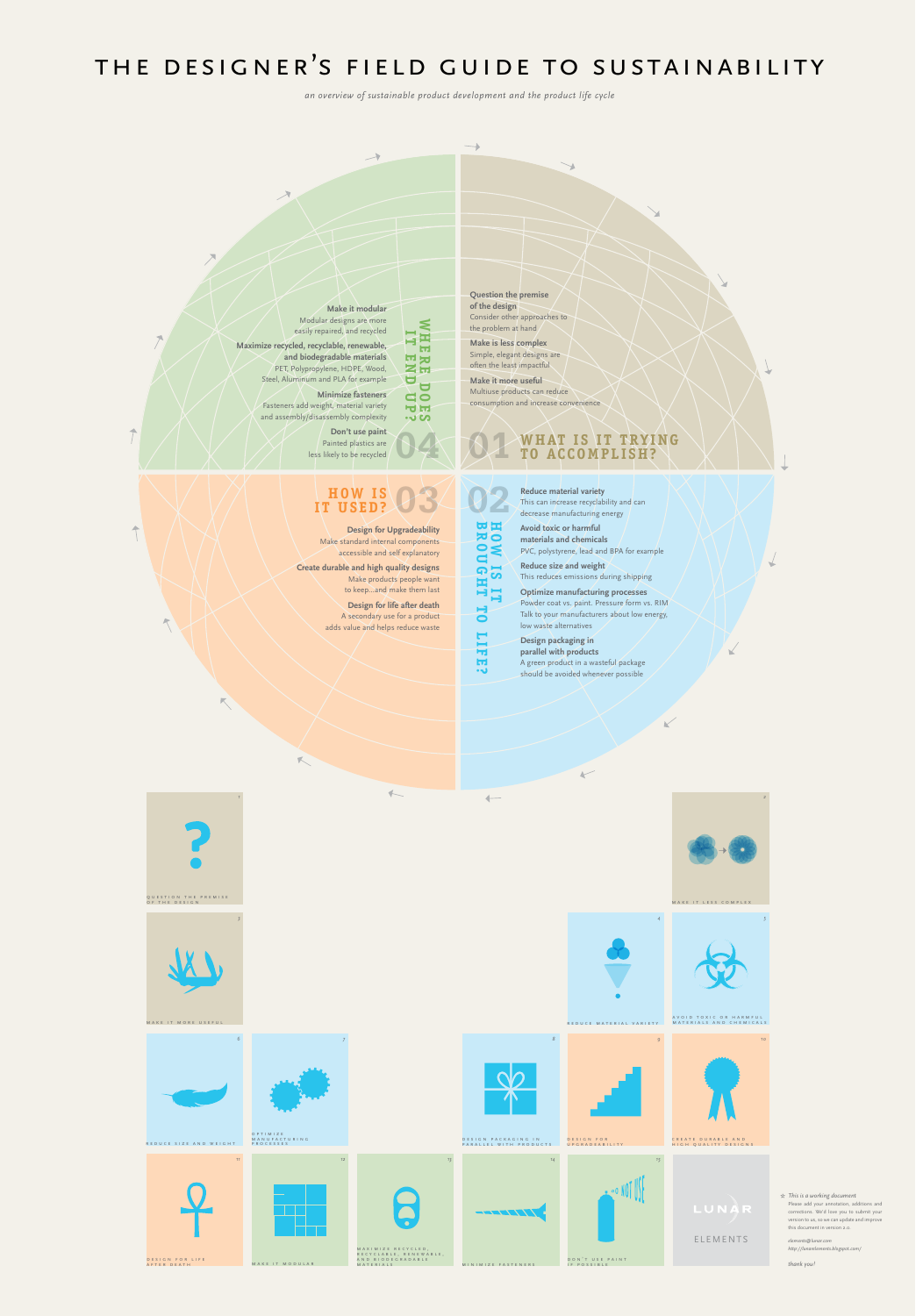

Make standard internal components accessible and self explanatory **Create durable and high quality designs** Make products people want to keep…and make them last

 $\overline{5}$ 

H 븎

**but**  $\bullet$ 

**Design for life after death** A secondary use for a product adds value and helps reduce waste



**materials and chemicals** PVC, polystyrene, lead and BPA for example **Reduce size and weight** This reduces emissions during shipping **Optimize manufacturing processes**

Powder coat vs. paint. Pressure form vs. RIM Talk to your manufacturers about low energy, low waste alternatives

 $\vee$ 

**Design packaging in parallel with products** A green product in a wasteful package should be avoided whenever possible

*an overview of sustainable product development and the product life cycle* 

# the designer's field guide to sustainability

*This is a working document \**  Please add your annotation, additions and corrections. We'd love you to submit your version to us, so we can update and improve this document in version 2.0.

*elements@lunar.com http://lunarelements.blogspot.com/*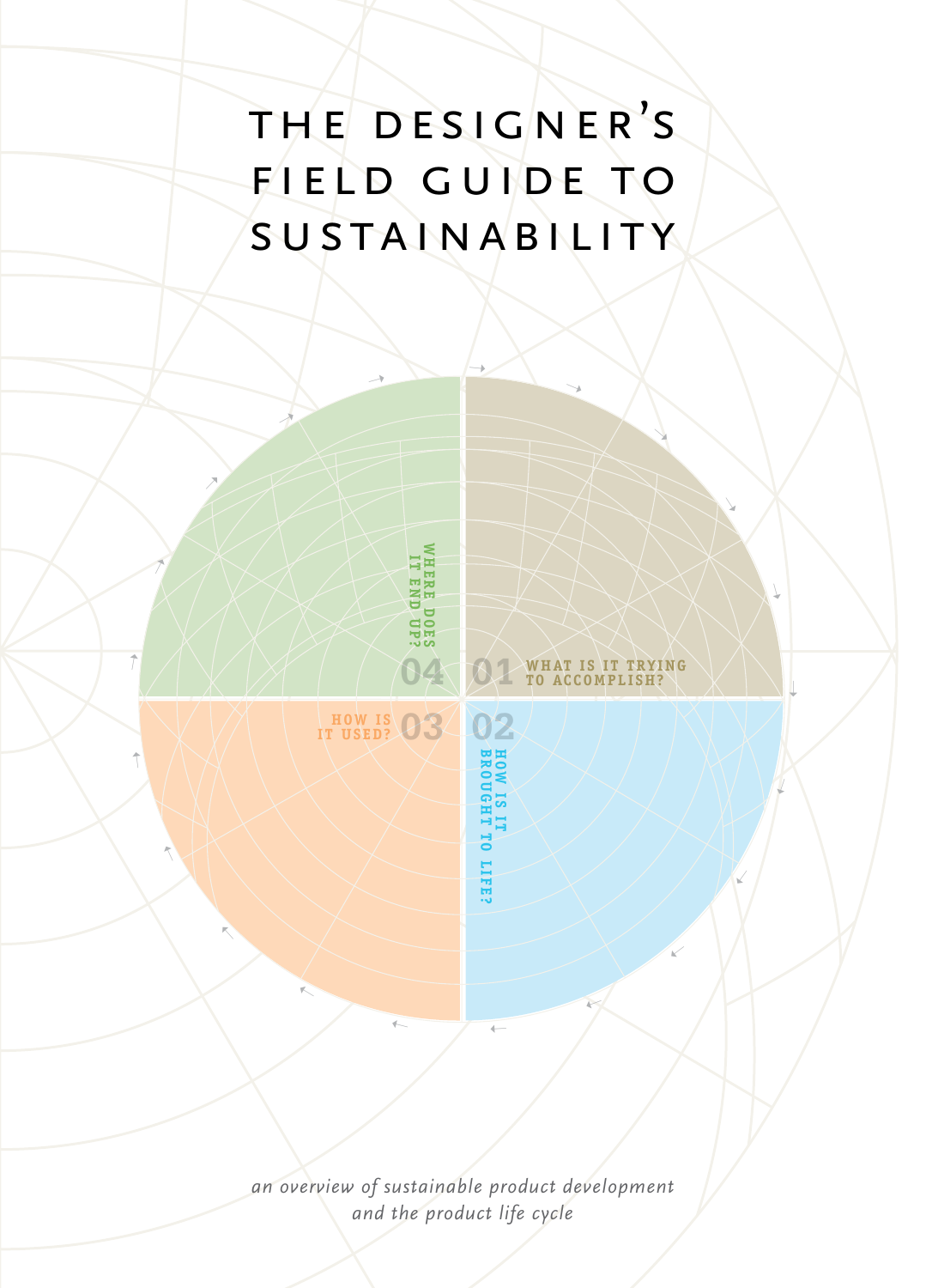## the designer's field guide to sustainability

➝

**WHERE DOES IT END UP?**

**WHERE DOESS** 

➝

**HOW IS IT USED? 03 02**

➝

➝

➝

➝

➝

 $\uparrow$ 

 $\bar{\mathcal{L}}$ 

➝

➝

**04**

**BROUGHT TO LIFE? HOW IS IT** 

 $\overline{ }$ 

**WHAT IS IT TRYING TO ACCOMPLISH? 01**

➝

➝

➝

 $\sqrt{}$ 

➝

➝

 $\sqrt{2}$ 

➝

➝

*an overview of sustainable product development and the product life cycle*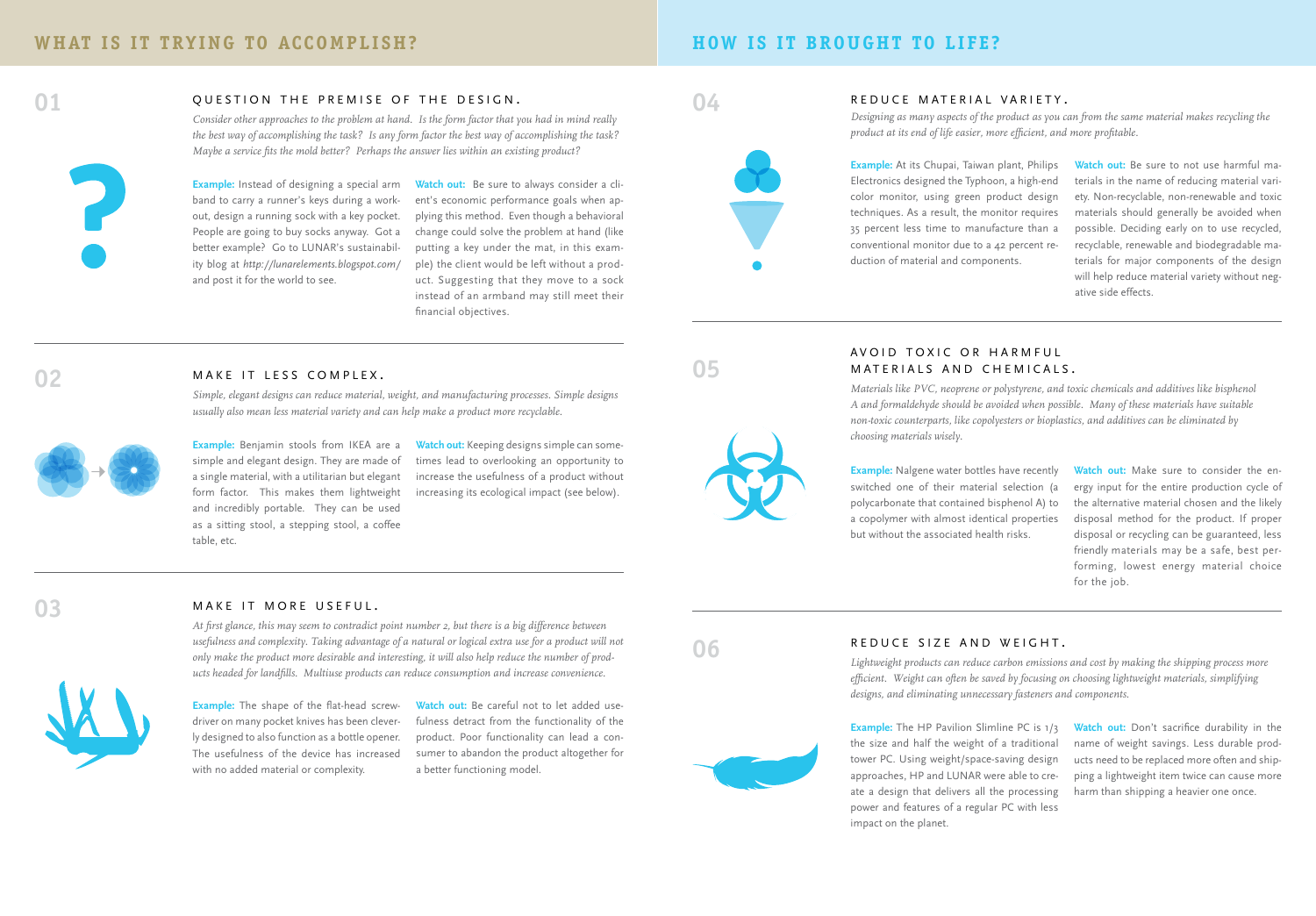### **HOW IS IT BROUGHT TO LIFE?**



### QUESTION THE PREMISE OF THE DESIGN.

*Consider other approaches to the problem at hand. Is the form factor that you had in mind really the best way of accomplishing the task? Is any form factor the best way of accomplishing the task? Maybe a service fits the mold better? Perhaps the answer lies within an existing product?* 



**Example:** Instead of designing a special arm band to carry a runner's keys during a workout, design a running sock with a key pocket. People are going to buy socks anyway. Got a better example? Go to LUNAR's sustainability blog at *http://lunarelements.blogspot.com/* and post it for the world to see.

**Watch out:** Be sure to always consider a client's economic performance goals when applying this method. Even though a behavioral change could solve the problem at hand (like putting a key under the mat, in this example) the client would be left without a product. Suggesting that they move to a sock instead of an armband may still meet their financial objectives.



**04**

### REDUCE MATERIAL VARIETY.

*Designing as many aspects of the product as you can from the same material makes recycling the product at its end of life easier, more efficient, and more profitable.* 

**Example:** At its Chupai, Taiwan plant, Philips Electronics designed the Typhoon, a high-end color monitor, using green product design techniques. As a result, the monitor requires 35 percent less time to manufacture than a conventional monitor due to a 42 percent reduction of material and components.

**Watch out:** Be sure to not use harmful materials in the name of reducing material variety. Non-recyclable, non-renewable and toxic materials should generally be avoided when possible. Deciding early on to use recycled, recyclable, renewable and biodegradable materials for major components of the design will help reduce material variety without negative side effects.

### MAKE IT LESS COMPLEX.

*Simple, elegant designs can reduce material, weight, and manufacturing processes. Simple designs usually also mean less material variety and can help make a product more recyclable.*



**Example:** Benjamin stools from IKEA are a simple and elegant design. They are made of a single material, with a utilitarian but elegant form factor. This makes them lightweight and incredibly portable. They can be used as a sitting stool, a stepping stool, a coffee table, etc.

**Watch out:** Keeping designs simple can sometimes lead to overlooking an opportunity to increase the usefulness of a product without increasing its ecological impact (see below).



### AVOID TOXIC OR HARMEUL MATERIALS AND CHEMICALS.

*Materials like PVC, neoprene or polystyrene, and toxic chemicals and additives like bisphenol A and formaldehyde should be avoided when possible. Many of these materials have suitable non-toxic counterparts, like copolyesters or bioplastics, and additives can be eliminated by choosing materials wisely.*

**Example:** Nalgene water bottles have recently switched one of their material selection (a polycarbonate that contained bisphenol A) to a copolymer with almost identical properties but without the associated health risks.

**Watch out:** Make sure to consider the energy input for the entire production cycle of the alternative material chosen and the likely disposal method for the product. If proper disposal or recycling can be guaranteed, less friendly materials may be a safe, best performing, lowest energy material choice for the job.

### **03**

### MAKE IT MORE USEFUL.

*At first glance, this may seem to contradict point number 2, but there is a big difference between usefulness and complexity. Taking advantage of a natural or logical extra use for a product will not only make the product more desirable and interesting, it will also help reduce the number of products headed for landfills. Multiuse products can reduce consumption and increase convenience.*

**Example:** The shape of the flat-head screwdriver on many pocket knives has been cleverly designed to also function as a bottle opener. The usefulness of the device has increased with no added material or complexity.

**Watch out:** Be careful not to let added usefulness detract from the functionality of the product. Poor functionality can lead a consumer to abandon the product altogether for a better functioning model.



### REDUCE SIZE AND WEIGHT.

*Lightweight products can reduce carbon emissions and cost by making the shipping process more efficient. Weight can often be saved by focusing on choosing lightweight materials, simplifying designs, and eliminating unnecessary fasteners and components.*

**Example:** The HP Pavilion Slimline PC is 1/3 the size and half the weight of a traditional tower PC. Using weight/space-saving design approaches, HP and LUNAR were able to create a design that delivers all the processing power and features of a regular PC with less impact on the planet.

**Watch out:** Don't sacrifice durability in the name of weight savings. Less durable products need to be replaced more often and shipping a lightweight item twice can cause more harm than shipping a heavier one once.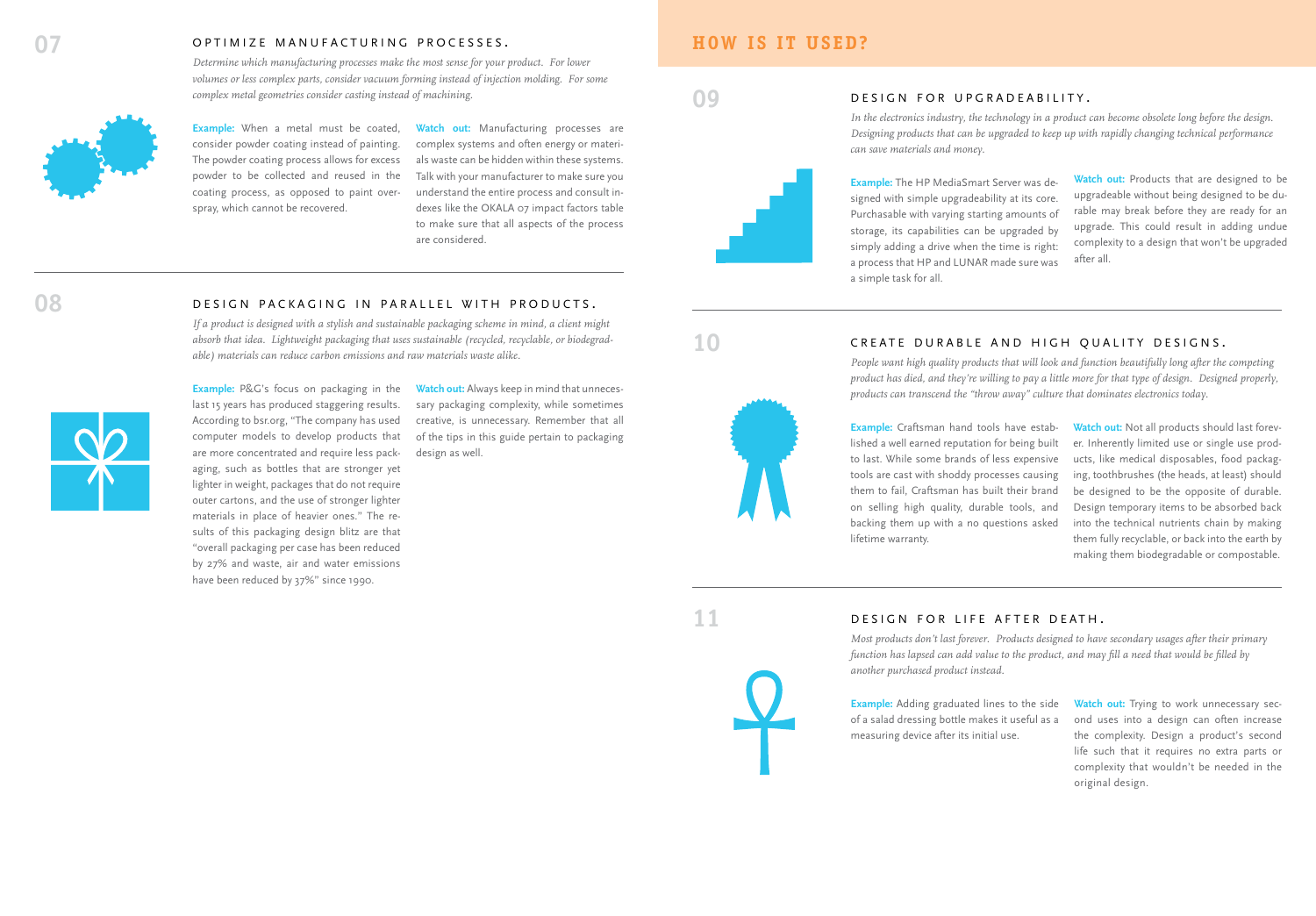### OPTIMIZE MANUFACTURING PROCESSES.

*Determine which manufacturing processes make the most sense for your product. For lower volumes or less complex parts, consider vacuum forming instead of injection molding. For some complex metal geometries consider casting instead of machining.*

DESIGN PACKAGING IN PARALLEL WITH PRODUCTS. *If a product is designed with a stylish and sustainable packaging scheme in mind, a client might absorb that idea. Lightweight packaging that uses sustainable (recycled, recyclable, or biodegrad-*

*able) materials can reduce carbon emissions and raw materials waste alike.*



**Example:** When a metal must be coated, consider powder coating instead of painting. The powder coating process allows for excess powder to be collected and reused in the coating process, as opposed to paint overspray, which cannot be recovered.

**Watch out:** Manufacturing processes are complex systems and often energy or materials waste can be hidden within these systems. Talk with your manufacturer to make sure you understand the entire process and consult indexes like the OKALA 07 impact factors table to make sure that all aspects of the process are considered.

## **09**

**HOW IS IT USED?**

### **Example:** The HP MediaSmart Server was designed with simple upgradeability at its core. Purchasable with varying starting amounts of storage, its capabilities can be upgraded by simply adding a drive when the time is right: a process that HP and LUNAR made sure was a simple task for all.

*can save materials and money.*

DESIGN FOR UPGRADEABILITY.

**Watch out:** Products that are designed to be upgradeable without being designed to be durable may break before they are ready for an upgrade. This could result in adding undue complexity to a design that won't be upgraded after all.

**10**

**11**

### CREATE DURABLE AND HIGH QUALITY DESIGNS.

*People want high quality products that will look and function beautifully long after the competing product has died, and they're willing to pay a little more for that type of design. Designed properly, products can transcend the "throw away" culture that dominates electronics today.*

*In the electronics industry, the technology in a product can become obsolete long before the design. Designing products that can be upgraded to keep up with rapidly changing technical performance* 

**Example:** Craftsman hand tools have established a well earned reputation for being built to last. While some brands of less expensive tools are cast with shoddy processes causing them to fail, Craftsman has built their brand on selling high quality, durable tools, and backing them up with a no questions asked lifetime warranty.

**Watch out:** Not all products should last forever. Inherently limited use or single use products, like medical disposables, food packaging, toothbrushes (the heads, at least) should be designed to be the opposite of durable. Design temporary items to be absorbed back into the technical nutrients chain by making them fully recyclable, or back into the earth by making them biodegradable or compostable.

**Example:** P&G's focus on packaging in the last 15 years has produced staggering results. According to bsr.org, "The company has used computer models to develop products that are more concentrated and require less packaging, such as bottles that are stronger yet lighter in weight, packages that do not require outer cartons, and the use of stronger lighter materials in place of heavier ones." The results of this packaging design blitz are that "overall packaging per case has been reduced by 27% and waste, air and water emissions have been reduced by 37%" since 1990.

**Watch out:** Always keep in mind that unnecessary packaging complexity, while sometimes creative, is unnecessary. Remember that all of the tips in this guide pertain to packaging design as well.

### DESIGN FOR LIFE AFTER DEATH.

*Most products don't last forever. Products designed to have secondary usages after their primary function has lapsed can add value to the product, and may fill a need that would be filled by another purchased product instead.*

**Example:** Adding graduated lines to the side of a salad dressing bottle makes it useful as a measuring device after its initial use.

Watch out: Trying to work unnecessary second uses into a design can often increase the complexity. Design a product's second life such that it requires no extra parts or complexity that wouldn't be needed in the original design.

**08**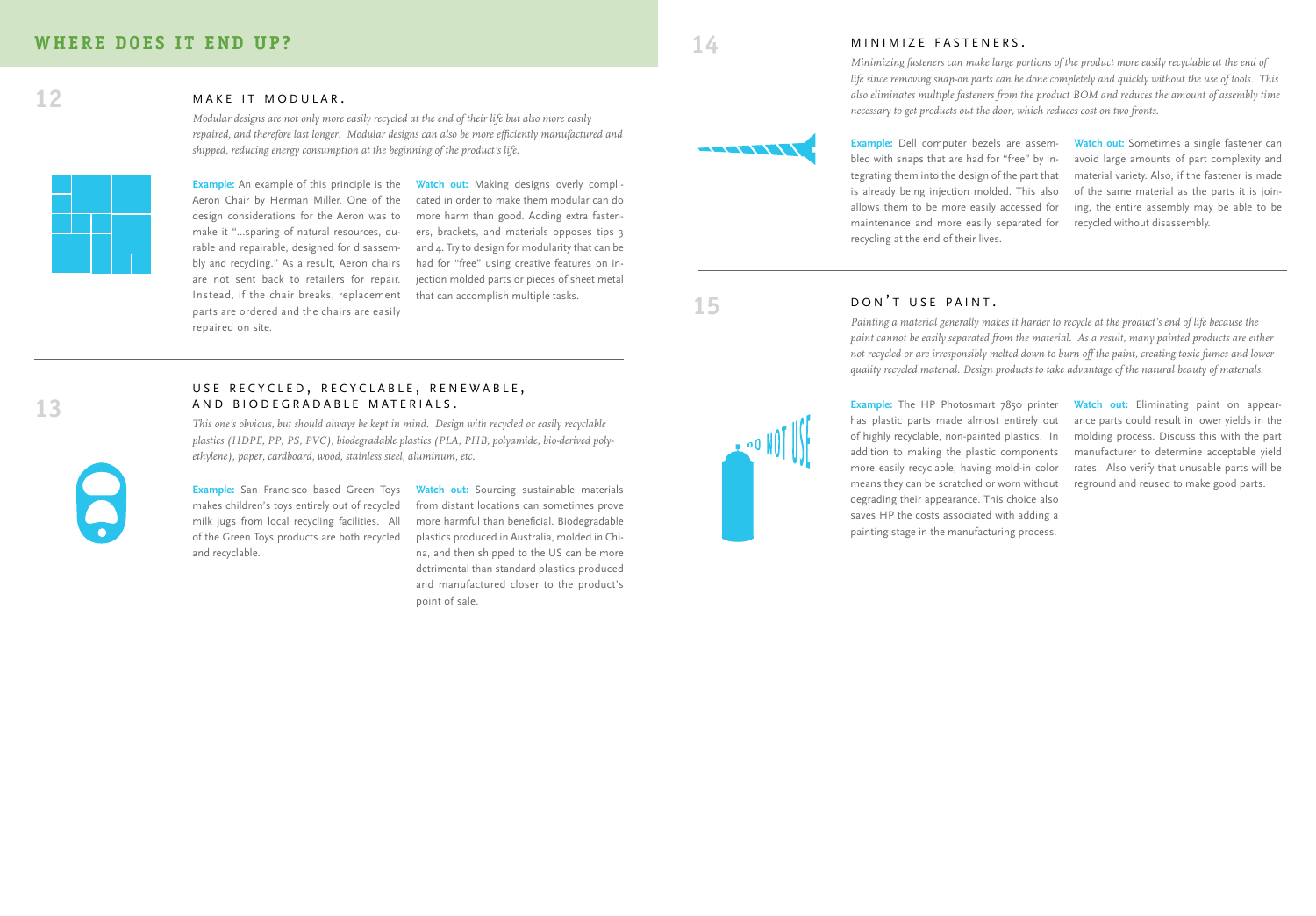### M I N I M I Z E F A S T E N E R S.

*Minimizing fasteners can make large portions of the product more easily recyclable at the end of life since removing snap-on parts can be done completely and quickly without the use of tools. This also eliminates multiple fasteners from the product BOM and reduces the amount of assembly time necessary to get products out the door, which reduces cost on two fronts.*

1777771

**Example:** Dell computer bezels are assem bled with snaps that are had for "free" by in tegrating them into the design of the part that is already being injection molded. This also allows them to be more easily accessed for maintenance and more easily separated for recycling at the end of their lives.

**Watch out:** Sometimes a single fastener can avoid large amounts of part complexity and material variety. Also, if the fastener is made of the same material as the parts it is join ing, the entire assembly may be able to be recycled without disassembly.

**15**

### DON'T USE PAINT.

*Painting a material generally makes it harder to recycle at the product's end of life because the paint cannot be easily separated from the material. As a result, many painted products are either not recycled or are irresponsibly melted down to burn off the paint, creating toxic fumes and lower quality recycled material. Design products to take advantage of the natural beauty of materials .*

**Example:** The HP Photosmart 7850 printer has plastic parts made almost entirely out of highly recyclable, non-painted plastics. In addition to making the plastic components more easily recyclable, having mold-in color means they can be scratched or worn without degrading their appearance. This choice also saves HP the costs associated with adding a painting stage in the manufacturing process.

**Watch out:** Eliminating paint on appear ance parts could result in lower yields in the molding process. Discuss this with the part manufacturer to determine acceptable yield rates. Also verify that unusable parts will be reground and reused to make good parts.

MAKE IT MODULAR.

**12**

**13**

**Example:** An example of this principle is the Aeron Chair by Herman Miller. One of the design considerations for the Aeron was to make it "…sparing of natural resources, du rable and repairable, designed for disassem bly and recycling." As a result, Aeron chairs are not sent back to retailers for repair. Instead, if the chair breaks, replacement parts are ordered and the chairs are easily repaired on site.

**Watch out:** Making designs overly compli cated in order to make them modular can do more harm than good. Adding extra fasten ers, brackets, and materials opposes tips 3 and 4. Try to design for modularity that can be had for "free" using creative features on in jection molded parts or pieces of sheet metal that can accomplish multiple tasks.

## U S E RECYCLED, RECYCLABLE, RENEWABLE,<br>AND BIODEGRADABLE MATERIALS.

*This one's obvious, but should always be kept in mind. Design with recycled or easily recyclable plastics (HDPE, PP, PS, PVC), biodegradable plastics (PLA, PHB, polyamide, bio-derived pol y ethylene), paper, cardboard, wood, stainless steel, aluminum, etc.*

*Modular designs are not only more easily recycled at the end of their life but also more easily repaired, and therefore last longer. Modular designs can also be more efficiently manufactured and* 

*shipped, reducing energy consumption at the beginning of the product's life.*

**Example:** San Francisco based Green Toys makes children's toys entirely out of recycled milk jugs from local recycling facilities. All of the Green Toys products are both recycled and recyclable.

Watch out: Sourcing sustainable materials from distant locations can sometimes prove more harmful than beneficial. Biodegradable plastics produced in Australia, molded in Chi na, and then shipped to the US can be more detrimental than standard plastics produced and manufactured closer to the product's point of sale.